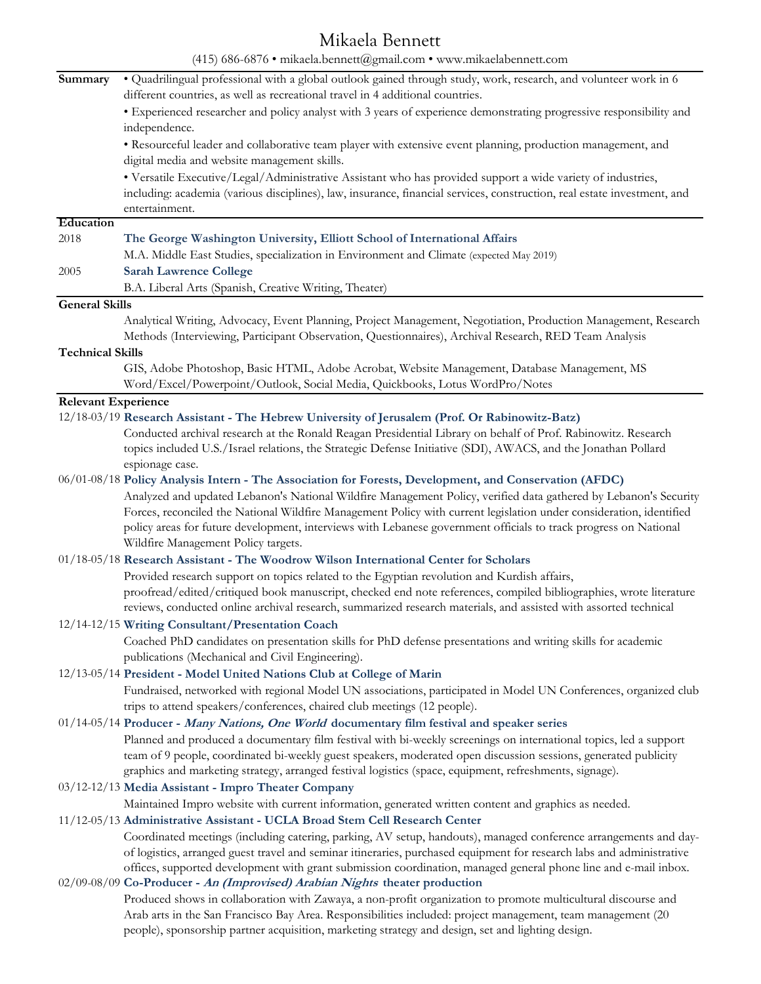# Mikaela Bennett

| (415) 686-6876 · mikaela.bennett@gmail.com · www.mikaelabennett.com |                                                                                                                                                                                                                                                                                                                                                                                                                  |  |
|---------------------------------------------------------------------|------------------------------------------------------------------------------------------------------------------------------------------------------------------------------------------------------------------------------------------------------------------------------------------------------------------------------------------------------------------------------------------------------------------|--|
| Summary                                                             | . Quadrilingual professional with a global outlook gained through study, work, research, and volunteer work in 6<br>different countries, as well as recreational travel in 4 additional countries.                                                                                                                                                                                                               |  |
|                                                                     | • Experienced researcher and policy analyst with 3 years of experience demonstrating progressive responsibility and<br>independence.                                                                                                                                                                                                                                                                             |  |
|                                                                     | • Resourceful leader and collaborative team player with extensive event planning, production management, and<br>digital media and website management skills.                                                                                                                                                                                                                                                     |  |
|                                                                     | • Versatile Executive/Legal/Administrative Assistant who has provided support a wide variety of industries,<br>including: academia (various disciplines), law, insurance, financial services, construction, real estate investment, and<br>entertainment.                                                                                                                                                        |  |
| Education                                                           |                                                                                                                                                                                                                                                                                                                                                                                                                  |  |
| 2018                                                                | The George Washington University, Elliott School of International Affairs                                                                                                                                                                                                                                                                                                                                        |  |
|                                                                     | M.A. Middle East Studies, specialization in Environment and Climate (expected May 2019)                                                                                                                                                                                                                                                                                                                          |  |
| 2005                                                                | <b>Sarah Lawrence College</b>                                                                                                                                                                                                                                                                                                                                                                                    |  |
|                                                                     | B.A. Liberal Arts (Spanish, Creative Writing, Theater)                                                                                                                                                                                                                                                                                                                                                           |  |
| <b>General Skills</b>                                               |                                                                                                                                                                                                                                                                                                                                                                                                                  |  |
|                                                                     | Analytical Writing, Advocacy, Event Planning, Project Management, Negotiation, Production Management, Research<br>Methods (Interviewing, Participant Observation, Questionnaires), Archival Research, RED Team Analysis                                                                                                                                                                                          |  |
| <b>Technical Skills</b>                                             |                                                                                                                                                                                                                                                                                                                                                                                                                  |  |
|                                                                     | GIS, Adobe Photoshop, Basic HTML, Adobe Acrobat, Website Management, Database Management, MS<br>Word/Excel/Powerpoint/Outlook, Social Media, Quickbooks, Lotus WordPro/Notes                                                                                                                                                                                                                                     |  |
| <b>Relevant Experience</b>                                          |                                                                                                                                                                                                                                                                                                                                                                                                                  |  |
|                                                                     | 12/18-03/19 Research Assistant - The Hebrew University of Jerusalem (Prof. Or Rabinowitz-Batz)                                                                                                                                                                                                                                                                                                                   |  |
|                                                                     | Conducted archival research at the Ronald Reagan Presidential Library on behalf of Prof. Rabinowitz. Research<br>topics included U.S./Israel relations, the Strategic Defense Initiative (SDI), AWACS, and the Jonathan Pollard<br>espionage case.                                                                                                                                                               |  |
|                                                                     | 06/01-08/18 Policy Analysis Intern - The Association for Forests, Development, and Conservation (AFDC)                                                                                                                                                                                                                                                                                                           |  |
|                                                                     | Analyzed and updated Lebanon's National Wildfire Management Policy, verified data gathered by Lebanon's Security<br>Forces, reconciled the National Wildfire Management Policy with current legislation under consideration, identified<br>policy areas for future development, interviews with Lebanese government officials to track progress on National<br>Wildfire Management Policy targets.               |  |
|                                                                     | 01/18-05/18 Research Assistant - The Woodrow Wilson International Center for Scholars                                                                                                                                                                                                                                                                                                                            |  |
|                                                                     | Provided research support on topics related to the Egyptian revolution and Kurdish affairs,<br>proofread/edited/critiqued book manuscript, checked end note references, compiled bibliographies, wrote literature<br>reviews, conducted online archival research, summarized research materials, and assisted with assorted technical                                                                            |  |
|                                                                     | 12/14-12/15 Writing Consultant/Presentation Coach                                                                                                                                                                                                                                                                                                                                                                |  |
|                                                                     | Coached PhD candidates on presentation skills for PhD defense presentations and writing skills for academic<br>publications (Mechanical and Civil Engineering).                                                                                                                                                                                                                                                  |  |
|                                                                     | 12/13-05/14 President - Model United Nations Club at College of Marin                                                                                                                                                                                                                                                                                                                                            |  |
|                                                                     | Fundraised, networked with regional Model UN associations, participated in Model UN Conferences, organized club<br>trips to attend speakers/conferences, chaired club meetings (12 people).                                                                                                                                                                                                                      |  |
|                                                                     | 01/14-05/14 Producer - Many Nations, One World documentary film festival and speaker series                                                                                                                                                                                                                                                                                                                      |  |
|                                                                     | Planned and produced a documentary film festival with bi-weekly screenings on international topics, led a support<br>team of 9 people, coordinated bi-weekly guest speakers, moderated open discussion sessions, generated publicity<br>graphics and marketing strategy, arranged festival logistics (space, equipment, refreshments, signage).                                                                  |  |
|                                                                     | 03/12-12/13 Media Assistant - Impro Theater Company                                                                                                                                                                                                                                                                                                                                                              |  |
|                                                                     | Maintained Impro website with current information, generated written content and graphics as needed.                                                                                                                                                                                                                                                                                                             |  |
|                                                                     | 11/12-05/13 Administrative Assistant - UCLA Broad Stem Cell Research Center                                                                                                                                                                                                                                                                                                                                      |  |
|                                                                     | Coordinated meetings (including catering, parking, AV setup, handouts), managed conference arrangements and day-<br>of logistics, arranged guest travel and seminar itineraries, purchased equipment for research labs and administrative<br>offices, supported development with grant submission coordination, managed general phone line and e-mail inbox.                                                     |  |
|                                                                     | 02/09-08/09 Co-Producer - An (Improvised) Arabian Nights theater production<br>Produced shows in collaboration with Zawaya, a non-profit organization to promote multicultural discourse and<br>Arab arts in the San Francisco Bay Area. Responsibilities included: project management, team management (20<br>people), sponsorship partner acquisition, marketing strategy and design, set and lighting design. |  |